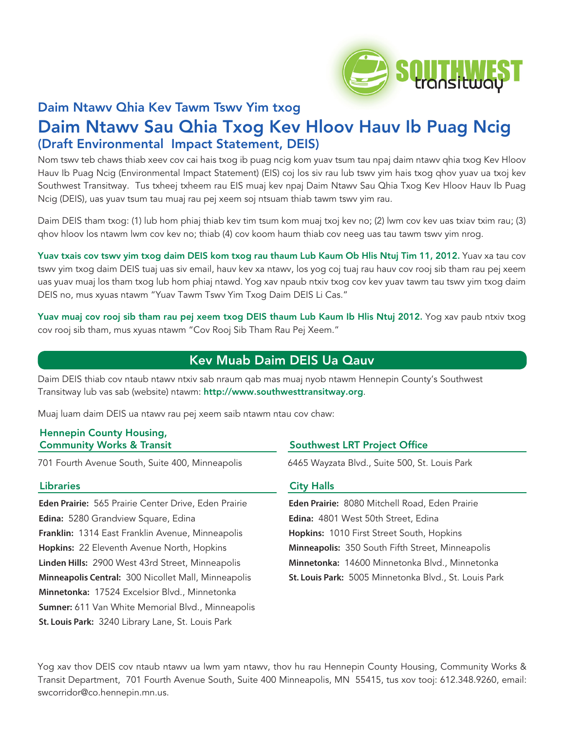

# Daim Ntawv Qhia Kev Tawm Tswv Yim txog Daim Ntawv Sau Qhia Txog Kev Hloov Hauv Ib Puag Ncig (Draft Environmental Impact Statement, DEIS)

Nom tswv teb chaws thiab xeev cov cai hais txog ib puag ncig kom yuav tsum tau npaj daim ntawv qhia txog Kev Hloov Hauv Ib Puag Ncig (Environmental Impact Statement) (EIS) coj los siv rau lub tswv yim hais txog qhov yuav ua txoj kev Southwest Transitway. Tus txheej txheem rau EIS muaj kev npaj Daim Ntawv Sau Qhia Txog Kev Hloov Hauv Ib Puag Ncig (DEIS), uas yuav tsum tau muaj rau pej xeem soj ntsuam thiab tawm tswv yim rau.

Daim DEIS tham txog: (1) lub hom phiaj thiab kev tim tsum kom muaj txoj kev no; (2) lwm cov kev uas txiav txim rau; (3) qhov hloov los ntawm lwm cov kev no; thiab (4) cov koom haum thiab cov neeg uas tau tawm tswv yim nrog.

Yuav txais cov tswv yim txog daim DEIS kom txog rau thaum Lub Kaum Ob Hlis Ntuj Tim 11, 2012. Yuav xa tau cov tswv yim txog daim DEIS tuaj uas siv email, hauv kev xa ntawv, los yog coj tuaj rau hauv cov rooj sib tham rau pej xeem uas yuav muaj los tham txog lub hom phiaj ntawd. Yog xav npaub ntxiv txog cov kev yuav tawm tau tswv yim txog daim DEIS no, mus xyuas ntawm "Yuav Tawm Tswv Yim Txog Daim DEIS Li Cas."

Yuav muaj cov rooj sib tham rau pej xeem txog DEIS thaum Lub Kaum Ib Hlis Ntuj 2012. Yog xav paub ntxiv txog cov rooj sib tham, mus xyuas ntawm "Cov Rooj Sib Tham Rau Pej Xeem."

### Kev Muab Daim DEIS Ua Qauv

Daim DEIS thiab cov ntaub ntawv ntxiv sab nraum qab mas muaj nyob ntawm Hennepin County's Southwest Transitway lub vas sab (website) ntawm: http://www.southwesttransitway.org.

Muaj luam daim DEIS ua ntawv rau pej xeem saib ntawm ntau cov chaw:

### Hennepin County Housing, Community Works & Transit

701 Fourth Avenue South, Suite 400, Minneapolis

### **Libraries**

**Eden Prairie:** 565 Prairie Center Drive, Eden Prairie **Edina:** 5280 Grandview Square, Edina **Franklin:** 1314 East Franklin Avenue, Minneapolis **Hopkins:** 22 Eleventh Avenue North, Hopkins **Linden Hills:** 2900 West 43rd Street, Minneapolis **Minneapolis Central:** 300 Nicollet Mall, Minneapolis **Minnetonka:** 17524 Excelsior Blvd., Minnetonka **Sumner:** 611 Van White Memorial Blvd., Minneapolis **St. Louis Park:** 3240 Library Lane, St. Louis Park

### Southwest LRT Project Office

6465 Wayzata Blvd., Suite 500, St. Louis Park

### City Halls

**Eden Prairie:** 8080 Mitchell Road, Eden Prairie **Edina:** 4801 West 50th Street, Edina **Hopkins:** 1010 First Street South, Hopkins **Minneapolis:** 350 South Fifth Street, Minneapolis **Minnetonka:** 14600 Minnetonka Blvd., Minnetonka **St. Louis Park:** 5005 Minnetonka Blvd., St. Louis Park

Yog xav thov DEIS cov ntaub ntawv ua lwm yam ntawv, thov hu rau Hennepin County Housing, Community Works & Transit Department, 701 Fourth Avenue South, Suite 400 Minneapolis, MN 55415, tus xov tooj: 612.348.9260, email: swcorridor@co.hennepin.mn.us.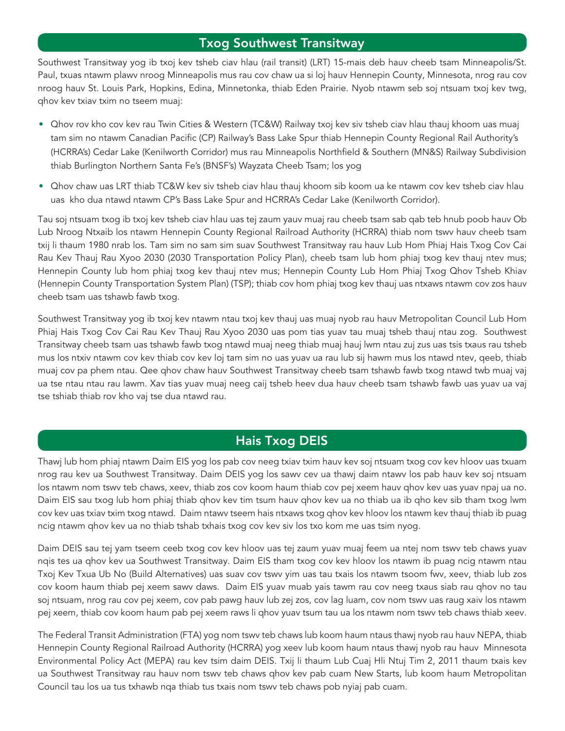### Txog Southwest Transitway

Southwest Transitway yog ib txoj kev tsheb ciav hlau (rail transit) (LRT) 15-mais deb hauv cheeb tsam Minneapolis/St. Paul, txuas ntawm plawv nroog Minneapolis mus rau cov chaw ua si loj hauv Hennepin County, Minnesota, nrog rau cov nroog hauv St. Louis Park, Hopkins, Edina, Minnetonka, thiab Eden Prairie. Nyob ntawm seb soj ntsuam txoj kev twg, qhov kev txiav txim no tseem muaj:

- Qhov rov kho cov kev rau Twin Cities & Western (TC&W) Railway txoj kev siv tsheb ciav hlau thauj khoom uas muaj tam sim no ntawm Canadian Pacific (CP) Railway's Bass Lake Spur thiab Hennepin County Regional Rail Authority's (HCRRA's) Cedar Lake (Kenilworth Corridor) mus rau Minneapolis Northfield & Southern (MN&S) Railway Subdivision thiab Burlington Northern Santa Fe's (BNSF's) Wayzata Cheeb Tsam; los yog
- Qhov chaw uas LRT thiab TC&W kev siv tsheb ciav hlau thauj khoom sib koom ua ke ntawm cov kev tsheb ciav hlau uas kho dua ntawd ntawm CP's Bass Lake Spur and HCRRA's Cedar Lake (Kenilworth Corridor).

Tau soj ntsuam txog ib txoj kev tsheb ciav hlau uas tej zaum yauv muaj rau cheeb tsam sab qab teb hnub poob hauv Ob Lub Nroog Ntxaib los ntawm Hennepin County Regional Railroad Authority (HCRRA) thiab nom tswv hauv cheeb tsam txij li thaum 1980 nrab los. Tam sim no sam sim suav Southwest Transitway rau hauv Lub Hom Phiaj Hais Txog Cov Cai Rau Kev Thauj Rau Xyoo 2030 (2030 Transportation Policy Plan), cheeb tsam lub hom phiaj txog kev thauj ntev mus; Hennepin County lub hom phiaj txog kev thauj ntev mus; Hennepin County Lub Hom Phiaj Txog Qhov Tsheb Khiav (Hennepin County Transportation System Plan) (TSP); thiab cov hom phiaj txog kev thauj uas ntxaws ntawm cov zos hauv cheeb tsam uas tshawb fawb txog.

Southwest Transitway yog ib txoj kev ntawm ntau txoj kev thauj uas muaj nyob rau hauv Metropolitan Council Lub Hom Phiaj Hais Txog Cov Cai Rau Kev Thauj Rau Xyoo 2030 uas pom tias yuav tau muaj tsheb thauj ntau zog. Southwest Transitway cheeb tsam uas tshawb fawb txog ntawd muaj neeg thiab muaj hauj lwm ntau zuj zus uas tsis txaus rau tsheb mus los ntxiv ntawm cov kev thiab cov kev loj tam sim no uas yuav ua rau lub sij hawm mus los ntawd ntev, qeeb, thiab muaj cov pa phem ntau. Qee qhov chaw hauv Southwest Transitway cheeb tsam tshawb fawb txog ntawd twb muaj vaj ua tse ntau ntau rau lawm. Xav tias yuav muaj neeg caij tsheb heev dua hauv cheeb tsam tshawb fawb uas yuav ua vaj tse tshiab thiab rov kho vaj tse dua ntawd rau.

# Hais Txog DEIS

Thawj lub hom phiaj ntawm Daim EIS yog los pab cov neeg txiav txim hauv kev soj ntsuam txog cov kev hloov uas txuam nrog rau kev ua Southwest Transitway. Daim DEIS yog los sawv cev ua thawj daim ntawv los pab hauv kev soj ntsuam los ntawm nom tswv teb chaws, xeev, thiab zos cov koom haum thiab cov pej xeem hauv qhov kev uas yuav npaj ua no. Daim EIS sau txog lub hom phiaj thiab qhov kev tim tsum hauv qhov kev ua no thiab ua ib qho kev sib tham txog lwm cov kev uas txiav txim txog ntawd. Daim ntawv tseem hais ntxaws txog qhov kev hloov los ntawm kev thauj thiab ib puag ncig ntawm qhov kev ua no thiab tshab txhais txog cov kev siv los txo kom me uas tsim nyog.

Daim DEIS sau tej yam tseem ceeb txog cov kev hloov uas tej zaum yuav muaj feem ua ntej nom tswv teb chaws yuav nqis tes ua qhov kev ua Southwest Transitway. Daim EIS tham txog cov kev hloov los ntawm ib puag ncig ntawm ntau Txoj Kev Txua Ub No (Build Alternatives) uas suav cov tswv yim uas tau txais los ntawm tsoom fwv, xeev, thiab lub zos cov koom haum thiab pej xeem sawv daws. Daim EIS yuav muab yais tawm rau cov neeg txaus siab rau qhov no tau soj ntsuam, nrog rau cov pej xeem, cov pab pawg hauv lub zej zos, cov lag luam, cov nom tswv uas raug xaiv los ntawm pej xeem, thiab cov koom haum pab pej xeem raws li qhov yuav tsum tau ua los ntawm nom tswv teb chaws thiab xeev.

The Federal Transit Administration (FTA) yog nom tswv teb chaws lub koom haum ntaus thawj nyob rau hauv NEPA, thiab Hennepin County Regional Railroad Authority (HCRRA) yog xeev lub koom haum ntaus thawj nyob rau hauv Minnesota Environmental Policy Act (MEPA) rau kev tsim daim DEIS. Txij li thaum Lub Cuaj Hli Ntuj Tim 2, 2011 thaum txais kev ua Southwest Transitway rau hauv nom tswv teb chaws qhov kev pab cuam New Starts, lub koom haum Metropolitan Council tau los ua tus txhawb nqa thiab tus txais nom tswv teb chaws pob nyiaj pab cuam.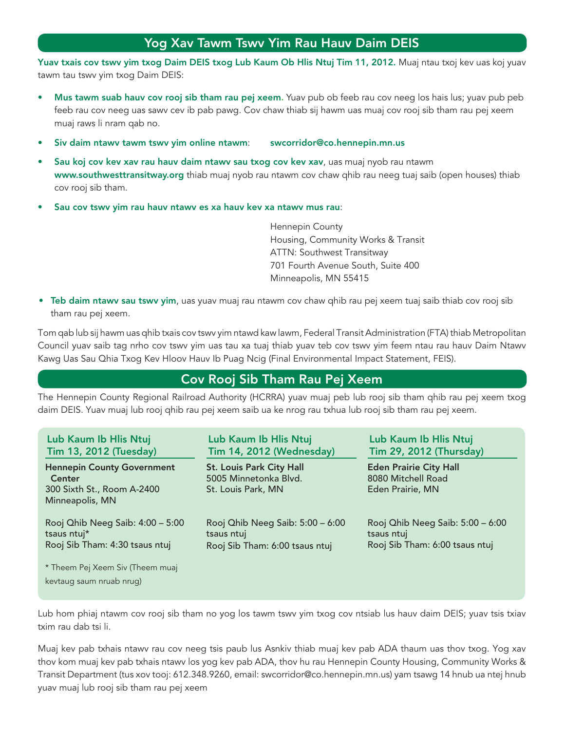# Yog Xav Tawm Tswv Yim Rau Hauv Daim DEIS

Yuav txais cov tswv yim txog Daim DEIS txog Lub Kaum Ob Hlis Ntuj Tim 11, 2012. Muaj ntau txoj kev uas koj yuav tawm tau tswv yim txog Daim DEIS:

- Mus tawm suab hauv cov rooj sib tham rau pej xeem. Yuav pub ob feeb rau cov neeg los hais lus; yuav pub peb feeb rau cov neeg uas sawv cev ib pab pawg. Cov chaw thiab sij hawm uas muaj cov rooj sib tham rau pej xeem muaj raws li nram qab no.
- Siv daim ntawv tawm tswv yim online ntawm: swcorridor@co.hennepin.mn.us
- Sau koj cov kev xav rau hauv daim ntawv sau txog cov kev xav, uas muaj nyob rau ntawm www.southwesttransitway.org thiab muaj nyob rau ntawm cov chaw qhib rau neeg tuaj saib (open houses) thiab cov rooj sib tham.
- Sau cov tswv yim rau hauv ntawv es xa hauv kev xa ntawv mus rau:

 Hennepin County Housing, Community Works & Transit ATTN: Southwest Transitway 701 Fourth Avenue South, Suite 400 Minneapolis, MN 55415

• Teb daim ntawv sau tswv yim, uas yuav muaj rau ntawm cov chaw qhib rau pej xeem tuaj saib thiab cov rooj sib tham rau pej xeem.

Tom qab lub sij hawm uas qhib txais cov tswv yim ntawd kaw lawm, Federal Transit Administration (FTA) thiab Metropolitan Council yuav saib tag nrho cov tswv yim uas tau xa tuaj thiab yuav teb cov tswv yim feem ntau rau hauv Daim Ntawv Kawg Uas Sau Qhia Txog Kev Hloov Hauv Ib Puag Ncig (Final Environmental Impact Statement, FEIS).

# Cov Rooj Sib Tham Rau Pej Xeem

The Hennepin County Regional Railroad Authority (HCRRA) yuav muaj peb lub rooj sib tham qhib rau pej xeem txog daim DEIS. Yuav muaj lub rooj qhib rau pej xeem saib ua ke nrog rau txhua lub rooj sib tham rau pej xeem.

| Lub Kaum Ib Hlis Ntuj                                                                               | Lub Kaum Ib Hlis Ntuj                                                          | Lub Kaum Ib Hlis Ntuj                                                   |
|-----------------------------------------------------------------------------------------------------|--------------------------------------------------------------------------------|-------------------------------------------------------------------------|
| <b>Tim 13, 2012 (Tuesday)</b>                                                                       | <b>Tim 14, 2012 (Wednesday)</b>                                                | <b>Tim 29, 2012 (Thursday)</b>                                          |
| <b>Hennepin County Government</b><br><b>Center</b><br>300 Sixth St., Room A-2400<br>Minneapolis, MN | <b>St. Louis Park City Hall</b><br>5005 Minnetonka Blvd.<br>St. Louis Park, MN | <b>Eden Prairie City Hall</b><br>8080 Mitchell Road<br>Eden Prairie, MN |
| Rooj Qhib Neeg Saib: 4:00 - 5:00                                                                    | Rooj Qhib Neeg Saib: 5:00 - 6:00                                               | Rooj Qhib Neeg Saib: 5:00 - 6:00                                        |
| tsaus ntuj*                                                                                         | tsaus ntuj                                                                     | tsaus ntuj                                                              |
| Rooj Sib Tham: 4:30 tsaus ntuj                                                                      | Rooj Sib Tham: 6:00 tsaus ntuj                                                 | Rooj Sib Tham: 6:00 tsaus ntuj                                          |
| * Theem Pej Xeem Siv (Theem muaj<br>kevtaug saum nruab nrug)                                        |                                                                                |                                                                         |

Lub hom phiaj ntawm cov rooj sib tham no yog los tawm tswv yim txog cov ntsiab lus hauv daim DEIS; yuav tsis txiav txim rau dab tsi li.

Muaj kev pab txhais ntawv rau cov neeg tsis paub lus Asnkiv thiab muaj kev pab ADA thaum uas thov txog. Yog xav thov kom muaj kev pab txhais ntawv los yog kev pab ADA, thov hu rau Hennepin County Housing, Community Works & Transit Department (tus xov tooj: 612.348.9260, email: swcorridor@co.hennepin.mn.us) yam tsawg 14 hnub ua ntej hnub yuav muaj lub rooj sib tham rau pej xeem